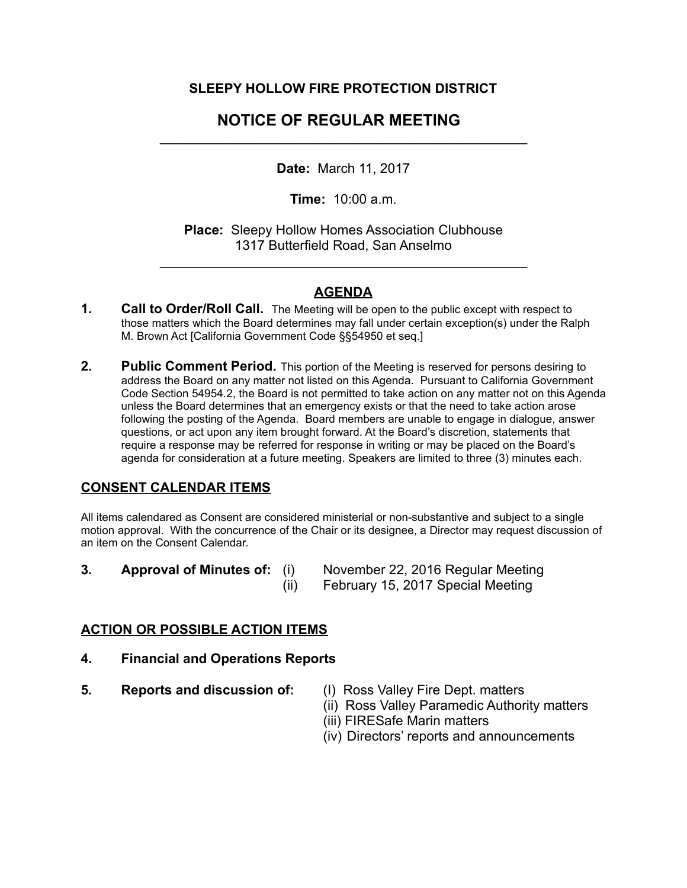## **SLEEPY HOLLOW FIRE PROTECTION DISTRICT**

# **NOTICE OF REGULAR MEETING**   $\mathcal{L}_\text{max} = \mathcal{L}_\text{max} = \mathcal{L}_\text{max} = \mathcal{L}_\text{max} = \mathcal{L}_\text{max} = \mathcal{L}_\text{max} = \mathcal{L}_\text{max} = \mathcal{L}_\text{max} = \mathcal{L}_\text{max} = \mathcal{L}_\text{max} = \mathcal{L}_\text{max} = \mathcal{L}_\text{max} = \mathcal{L}_\text{max} = \mathcal{L}_\text{max} = \mathcal{L}_\text{max} = \mathcal{L}_\text{max} = \mathcal{L}_\text{max} = \mathcal{L}_\text{max} = \mathcal{$

**Date:** March 11, 2017

**Time:** 10:00 a.m.

**Place:** Sleepy Hollow Homes Association Clubhouse 1317 Butterfield Road, San Anselmo

 $\mathcal{L}_\text{max}$  , and the contract of the contract of the contract of the contract of the contract of the contract of the contract of the contract of the contract of the contract of the contract of the contract of the contr

## **AGENDA**

- **1. Call to Order/Roll Call.** The Meeting will be open to the public except with respect to those matters which the Board determines may fall under certain exception(s) under the Ralph M. Brown Act [California Government Code §§54950 et seq.]
- **2. Public Comment Period.** This portion of the Meeting is reserved for persons desiring to address the Board on any matter not listed on this Agenda. Pursuant to California Government Code Section 54954.2, the Board is not permitted to take action on any matter not on this Agenda unless the Board determines that an emergency exists or that the need to take action arose following the posting of the Agenda. Board members are unable to engage in dialogue, answer questions, or act upon any item brought forward. At the Board's discretion, statements that require a response may be referred for response in writing or may be placed on the Board's agenda for consideration at a future meeting. Speakers are limited to three (3) minutes each.

# **CONSENT CALENDAR ITEMS**

All items calendared as Consent are considered ministerial or non-substantive and subject to a single motion approval. With the concurrence of the Chair or its designee, a Director may request discussion of an item on the Consent Calendar.

- 
- **3. Approval of Minutes of:** (i) November 22, 2016 Regular Meeting (ii) February 15, 2017 Special Meeting

#### **ACTION OR POSSIBLE ACTION ITEMS**

- **4. Financial and Operations Reports**
- **5. Reports and discussion of:** (I) Ross Valley Fire Dept. matters
- - (ii) Ross Valley Paramedic Authority matters
	- (iii) FIRESafe Marin matters
	- (iv) Directors' reports and announcements